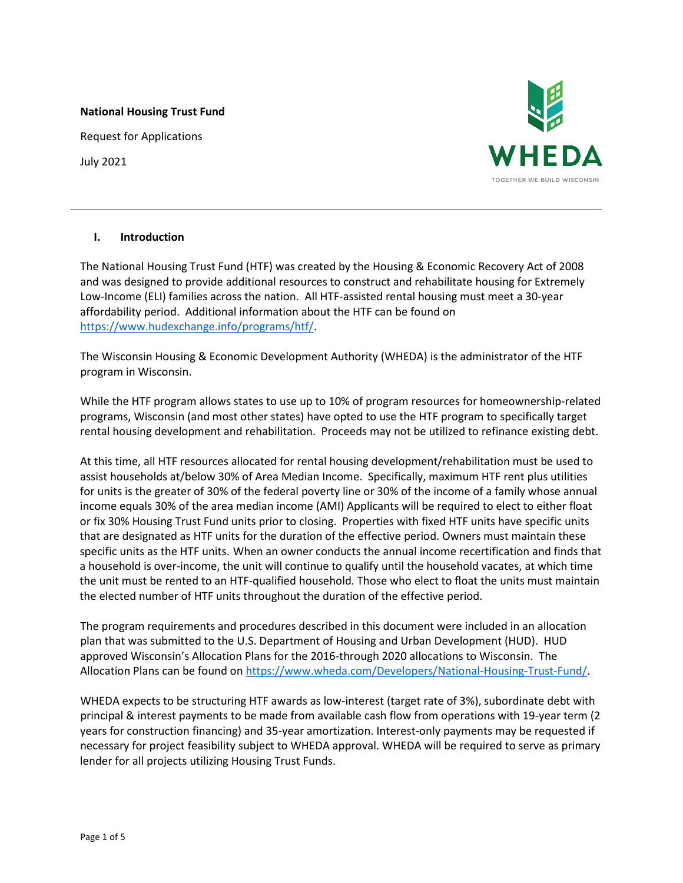#### **National Housing Trust Fund**

Request for Applications

July 2021



## **I. Introduction**

The National Housing Trust Fund (HTF) was created by the Housing & Economic Recovery Act of 2008 and was designed to provide additional resources to construct and rehabilitate housing for Extremely Low-Income (ELI) families across the nation. All HTF-assisted rental housing must meet a 30-year affordability period. Additional information about the HTF can be found on [https://www.hudexchange.info/programs/htf/.](https://www.hudexchange.info/programs/htf/)

The Wisconsin Housing & Economic Development Authority (WHEDA) is the administrator of the HTF program in Wisconsin.

While the HTF program allows states to use up to 10% of program resources for homeownership-related programs, Wisconsin (and most other states) have opted to use the HTF program to specifically target rental housing development and rehabilitation. Proceeds may not be utilized to refinance existing debt.

At this time, all HTF resources allocated for rental housing development/rehabilitation must be used to assist households at/below 30% of Area Median Income. Specifically, maximum HTF rent plus utilities for units is the greater of 30% of the federal poverty line or 30% of the income of a family whose annual income equals 30% of the area median income (AMI) Applicants will be required to elect to either float or fix 30% Housing Trust Fund units prior to closing. Properties with fixed HTF units have specific units that are designated as HTF units for the duration of the effective period. Owners must maintain these specific units as the HTF units. When an owner conducts the annual income recertification and finds that a household is over-income, the unit will continue to qualify until the household vacates, at which time the unit must be rented to an HTF-qualified household. Those who elect to float the units must maintain the elected number of HTF units throughout the duration of the effective period.

The program requirements and procedures described in this document were included in an allocation plan that was submitted to the U.S. Department of Housing and Urban Development (HUD). HUD approved Wisconsin's Allocation Plans for the 2016-through 2020 allocations to Wisconsin. The Allocation Plans can be found on [https://www.wheda.com/Developers/National-Housing-Trust-Fund/.](https://www.wheda.com/Developers/National-Housing-Trust-Fund/)

WHEDA expects to be structuring HTF awards as low-interest (target rate of 3%), subordinate debt with principal & interest payments to be made from available cash flow from operations with 19-year term (2 years for construction financing) and 35-year amortization. Interest-only payments may be requested if necessary for project feasibility subject to WHEDA approval. WHEDA will be required to serve as primary lender for all projects utilizing Housing Trust Funds.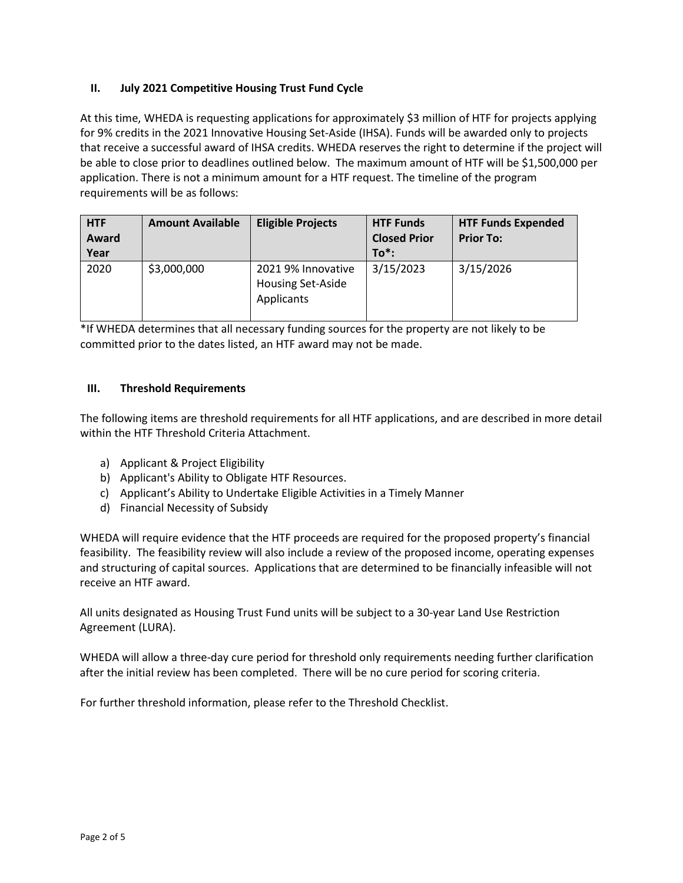# **II. July 2021 Competitive Housing Trust Fund Cycle**

At this time, WHEDA is requesting applications for approximately \$3 million of HTF for projects applying for 9% credits in the 2021 Innovative Housing Set-Aside (IHSA). Funds will be awarded only to projects that receive a successful award of IHSA credits. WHEDA reserves the right to determine if the project will be able to close prior to deadlines outlined below. The maximum amount of HTF will be \$1,500,000 per application. There is not a minimum amount for a HTF request. The timeline of the program requirements will be as follows:

| <b>HTF</b><br>Award<br>Year | <b>Amount Available</b> | <b>Eligible Projects</b>                                     | <b>HTF Funds</b><br><b>Closed Prior</b><br>$To^*$ : | <b>HTF Funds Expended</b><br><b>Prior To:</b> |
|-----------------------------|-------------------------|--------------------------------------------------------------|-----------------------------------------------------|-----------------------------------------------|
| 2020                        | \$3,000,000             | 2021 9% Innovative<br><b>Housing Set-Aside</b><br>Applicants | 3/15/2023                                           | 3/15/2026                                     |

\*If WHEDA determines that all necessary funding sources for the property are not likely to be committed prior to the dates listed, an HTF award may not be made.

# **III. Threshold Requirements**

The following items are threshold requirements for all HTF applications, and are described in more detail within the HTF Threshold Criteria Attachment.

- a) Applicant & Project Eligibility
- b) Applicant's Ability to Obligate HTF Resources.
- c) Applicant's Ability to Undertake Eligible Activities in a Timely Manner
- d) Financial Necessity of Subsidy

WHEDA will require evidence that the HTF proceeds are required for the proposed property's financial feasibility. The feasibility review will also include a review of the proposed income, operating expenses and structuring of capital sources. Applications that are determined to be financially infeasible will not receive an HTF award.

All units designated as Housing Trust Fund units will be subject to a 30-year Land Use Restriction Agreement (LURA).

WHEDA will allow a three-day cure period for threshold only requirements needing further clarification after the initial review has been completed. There will be no cure period for scoring criteria.

For further threshold information, please refer to the Threshold Checklist.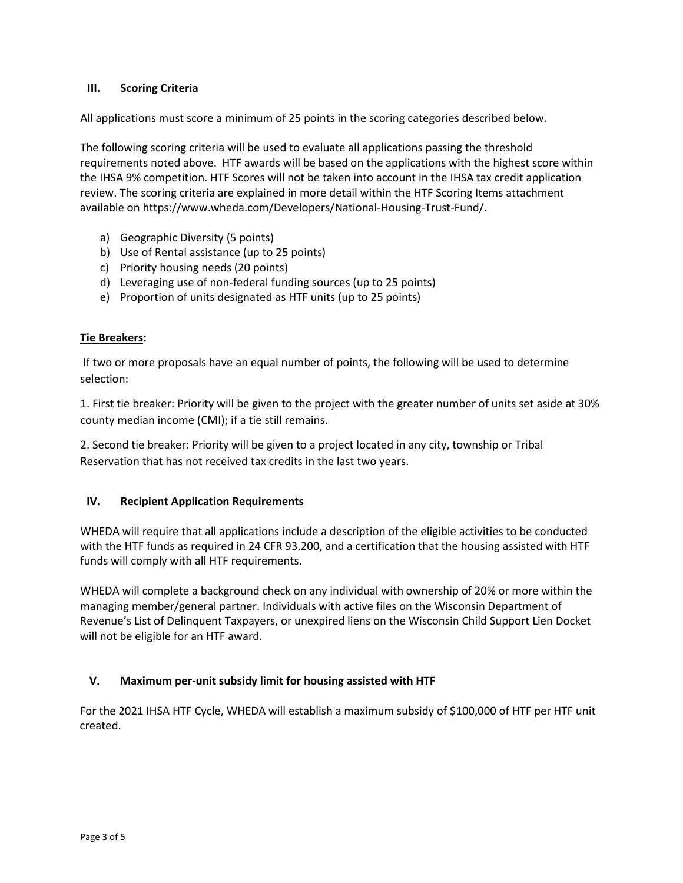# **III. Scoring Criteria**

All applications must score a minimum of 25 points in the scoring categories described below.

The following scoring criteria will be used to evaluate all applications passing the threshold requirements noted above. HTF awards will be based on the applications with the highest score within the IHSA 9% competition. HTF Scores will not be taken into account in the IHSA tax credit application review. The scoring criteria are explained in more detail within the HTF Scoring Items attachment available on https://www.wheda.com/Developers/National-Housing-Trust-Fund/.

- a) Geographic Diversity (5 points)
- b) Use of Rental assistance (up to 25 points)
- c) Priority housing needs (20 points)
- d) Leveraging use of non-federal funding sources (up to 25 points)
- e) Proportion of units designated as HTF units (up to 25 points)

# **Tie Breakers:**

If two or more proposals have an equal number of points, the following will be used to determine selection:

1. First tie breaker: Priority will be given to the project with the greater number of units set aside at 30% county median income (CMI); if a tie still remains.

2. Second tie breaker: Priority will be given to a project located in any city, township or Tribal Reservation that has not received tax credits in the last two years.

# **IV. Recipient Application Requirements**

WHEDA will require that all applications include a description of the eligible activities to be conducted with the HTF funds as required in 24 CFR 93.200, and a certification that the housing assisted with HTF funds will comply with all HTF requirements.

WHEDA will complete a background check on any individual with ownership of 20% or more within the managing member/general partner. Individuals with active files on the Wisconsin Department of Revenue's List of Delinquent Taxpayers, or unexpired liens on the Wisconsin Child Support Lien Docket will not be eligible for an HTF award.

# **V. Maximum per-unit subsidy limit for housing assisted with HTF**

For the 2021 IHSA HTF Cycle, WHEDA will establish a maximum subsidy of \$100,000 of HTF per HTF unit created.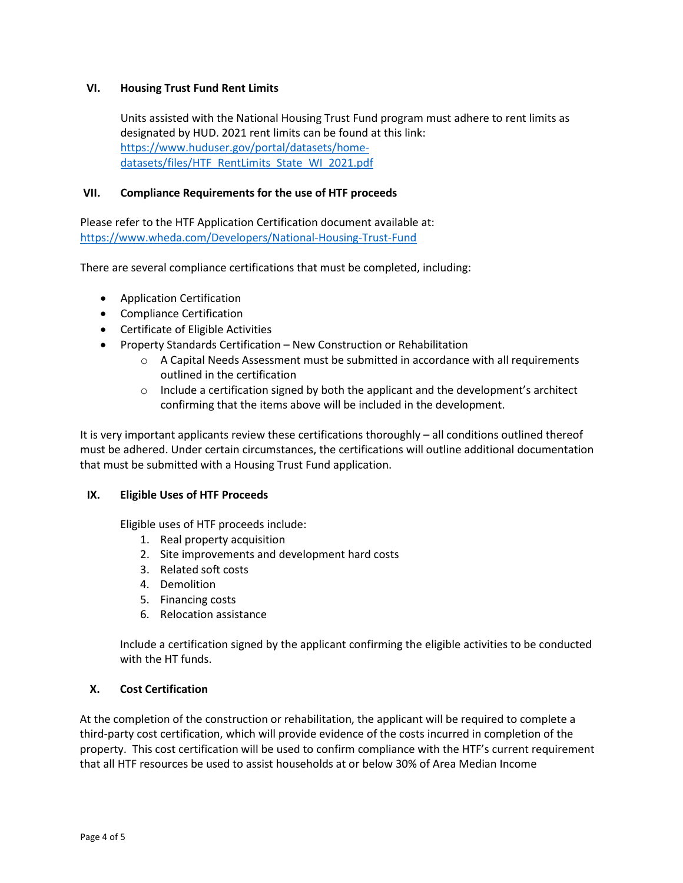## **VI. Housing Trust Fund Rent Limits**

Units assisted with the National Housing Trust Fund program must adhere to rent limits as designated by HUD. 2021 rent limits can be found at this link: [https://www.huduser.gov/portal/datasets/home](https://www.huduser.gov/portal/datasets/home-datasets/files/HTF_RentLimits_State_WI_2021.pdf)[datasets/files/HTF\\_RentLimits\\_State\\_WI\\_2021.pdf](https://www.huduser.gov/portal/datasets/home-datasets/files/HTF_RentLimits_State_WI_2021.pdf)

## **VII. Compliance Requirements for the use of HTF proceeds**

Please refer to the HTF Application Certification document available at: <https://www.wheda.com/Developers/National-Housing-Trust-Fund>

There are several compliance certifications that must be completed, including:

- Application Certification
- Compliance Certification
- Certificate of Eligible Activities
- Property Standards Certification New Construction or Rehabilitation
	- $\circ$  A Capital Needs Assessment must be submitted in accordance with all requirements outlined in the certification
	- $\circ$  Include a certification signed by both the applicant and the development's architect confirming that the items above will be included in the development.

It is very important applicants review these certifications thoroughly – all conditions outlined thereof must be adhered. Under certain circumstances, the certifications will outline additional documentation that must be submitted with a Housing Trust Fund application.

#### **IX. Eligible Uses of HTF Proceeds**

Eligible uses of HTF proceeds include:

- 1. Real property acquisition
- 2. Site improvements and development hard costs
- 3. Related soft costs
- 4. Demolition
- 5. Financing costs
- 6. Relocation assistance

Include a certification signed by the applicant confirming the eligible activities to be conducted with the HT funds.

#### **X. Cost Certification**

At the completion of the construction or rehabilitation, the applicant will be required to complete a third-party cost certification, which will provide evidence of the costs incurred in completion of the property. This cost certification will be used to confirm compliance with the HTF's current requirement that all HTF resources be used to assist households at or below 30% of Area Median Income